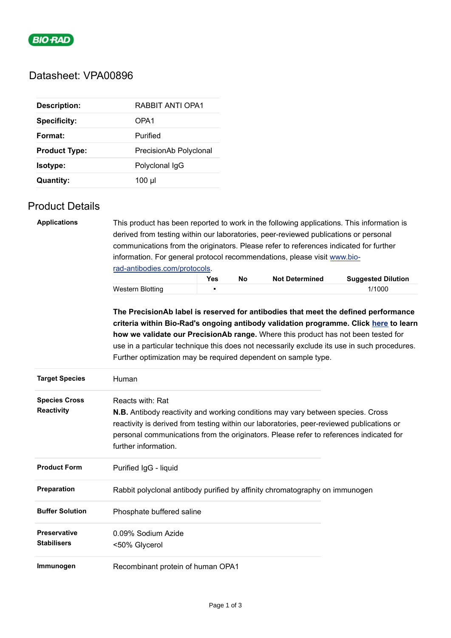

# Datasheet: VPA00896

| <b>Description:</b>  | RABBIT ANTI OPA1       |
|----------------------|------------------------|
| <b>Specificity:</b>  | OPA1                   |
| Format:              | Purified               |
| <b>Product Type:</b> | PrecisionAb Polyclonal |
| Isotype:             | Polyclonal IgG         |
| <b>Quantity:</b>     | $100 \mu$              |

### Product Details

| <b>Applications</b>    | This product has been reported to work in the following applications. This information is |     |    |                       |                                                                                             |  |  |
|------------------------|-------------------------------------------------------------------------------------------|-----|----|-----------------------|---------------------------------------------------------------------------------------------|--|--|
|                        | derived from testing within our laboratories, peer-reviewed publications or personal      |     |    |                       |                                                                                             |  |  |
|                        | communications from the originators. Please refer to references indicated for further     |     |    |                       |                                                                                             |  |  |
|                        | information. For general protocol recommendations, please visit www.bio-                  |     |    |                       |                                                                                             |  |  |
|                        | rad-antibodies.com/protocols.                                                             |     |    |                       |                                                                                             |  |  |
|                        |                                                                                           | Yes | No | <b>Not Determined</b> | <b>Suggested Dilution</b>                                                                   |  |  |
|                        | <b>Western Blotting</b>                                                                   |     |    |                       | 1/1000                                                                                      |  |  |
|                        |                                                                                           |     |    |                       | The PrecisionAb label is reserved for antibodies that meet the defined performance          |  |  |
|                        |                                                                                           |     |    |                       | criteria within Bio-Rad's ongoing antibody validation programme. Click here to learn        |  |  |
|                        | how we validate our PrecisionAb range. Where this product has not been tested for         |     |    |                       |                                                                                             |  |  |
|                        |                                                                                           |     |    |                       | use in a particular technique this does not necessarily exclude its use in such procedures. |  |  |
|                        | Further optimization may be required dependent on sample type.                            |     |    |                       |                                                                                             |  |  |
| <b>Target Species</b>  | Human                                                                                     |     |    |                       |                                                                                             |  |  |
| <b>Species Cross</b>   | Reacts with: Rat                                                                          |     |    |                       |                                                                                             |  |  |
| <b>Reactivity</b>      | <b>N.B.</b> Antibody reactivity and working conditions may vary between species. Cross    |     |    |                       |                                                                                             |  |  |
|                        | reactivity is derived from testing within our laboratories, peer-reviewed publications or |     |    |                       |                                                                                             |  |  |
|                        | personal communications from the originators. Please refer to references indicated for    |     |    |                       |                                                                                             |  |  |
|                        | further information.                                                                      |     |    |                       |                                                                                             |  |  |
| <b>Product Form</b>    | Purified IgG - liquid                                                                     |     |    |                       |                                                                                             |  |  |
| Preparation            | Rabbit polyclonal antibody purified by affinity chromatography on immunogen               |     |    |                       |                                                                                             |  |  |
| <b>Buffer Solution</b> | Phosphate buffered saline                                                                 |     |    |                       |                                                                                             |  |  |
| <b>Preservative</b>    | 0.09% Sodium Azide                                                                        |     |    |                       |                                                                                             |  |  |
| <b>Stabilisers</b>     | <50% Glycerol                                                                             |     |    |                       |                                                                                             |  |  |
| Immunogen              | Recombinant protein of human OPA1                                                         |     |    |                       |                                                                                             |  |  |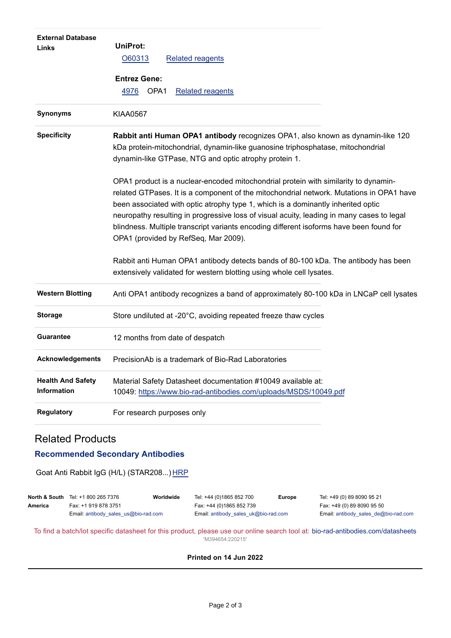| <b>External Database</b><br>Links              | UniProt:<br>O60313<br><b>Related reagents</b>                                                                                                                                                                                                                                                                                                                                                                                                                                                      |
|------------------------------------------------|----------------------------------------------------------------------------------------------------------------------------------------------------------------------------------------------------------------------------------------------------------------------------------------------------------------------------------------------------------------------------------------------------------------------------------------------------------------------------------------------------|
|                                                | <b>Entrez Gene:</b>                                                                                                                                                                                                                                                                                                                                                                                                                                                                                |
|                                                | OPA1<br>4976<br><b>Related reagents</b>                                                                                                                                                                                                                                                                                                                                                                                                                                                            |
| Synonyms                                       | <b>KIAA0567</b>                                                                                                                                                                                                                                                                                                                                                                                                                                                                                    |
| <b>Specificity</b>                             | Rabbit anti Human OPA1 antibody recognizes OPA1, also known as dynamin-like 120<br>kDa protein-mitochondrial, dynamin-like guanosine triphosphatase, mitochondrial<br>dynamin-like GTPase, NTG and optic atrophy protein 1.                                                                                                                                                                                                                                                                        |
|                                                | OPA1 product is a nuclear-encoded mitochondrial protein with similarity to dynamin-<br>related GTPases. It is a component of the mitochondrial network. Mutations in OPA1 have<br>been associated with optic atrophy type 1, which is a dominantly inherited optic<br>neuropathy resulting in progressive loss of visual acuity, leading in many cases to legal<br>blindness. Multiple transcript variants encoding different isoforms have been found for<br>OPA1 (provided by RefSeq, Mar 2009). |
|                                                | Rabbit anti Human OPA1 antibody detects bands of 80-100 kDa. The antibody has been<br>extensively validated for western blotting using whole cell lysates.                                                                                                                                                                                                                                                                                                                                         |
| <b>Western Blotting</b>                        | Anti OPA1 antibody recognizes a band of approximately 80-100 kDa in LNCaP cell lysates                                                                                                                                                                                                                                                                                                                                                                                                             |
| <b>Storage</b>                                 | Store undiluted at -20°C, avoiding repeated freeze thaw cycles                                                                                                                                                                                                                                                                                                                                                                                                                                     |
| <b>Guarantee</b>                               | 12 months from date of despatch                                                                                                                                                                                                                                                                                                                                                                                                                                                                    |
| <b>Acknowledgements</b>                        | PrecisionAb is a trademark of Bio-Rad Laboratories                                                                                                                                                                                                                                                                                                                                                                                                                                                 |
| <b>Health And Safety</b><br><b>Information</b> | Material Safety Datasheet documentation #10049 available at:<br>10049: https://www.bio-rad-antibodies.com/uploads/MSDS/10049.pdf                                                                                                                                                                                                                                                                                                                                                                   |
| <b>Regulatory</b>                              | For research purposes only                                                                                                                                                                                                                                                                                                                                                                                                                                                                         |

## Related Products

#### **Recommended Secondary Antibodies**

Goat Anti Rabbit IgG (H/L) (STAR208...) [HRP](https://www.bio-rad-antibodies.com/polyclonal/rabbit-lapine-igg-antibody-star208.html)

|         | <b>North &amp; South</b> Tel: +1 800 265 7376 | Worldwide | Tel: +44 (0)1865 852 700             | <b>Europe</b> | Tel: +49 (0) 89 8090 95 21                    |
|---------|-----------------------------------------------|-----------|--------------------------------------|---------------|-----------------------------------------------|
| America | Fax: +1 919 878 3751                          |           | Fax: +44 (0)1865 852 739             |               | Fax: +49 (0) 89 8090 95 50                    |
|         | Email: antibody sales $us@bio-rad.com$        |           | Email: antibody sales uk@bio-rad.com |               | Email: antibody sales $de@bio\text{-}rad.com$ |

To find a batch/lot specific datasheet for this product, please use our online search tool at: [bio-rad-antibodies.com/datasheets](https://bio-rad-antibodies.com/datasheets) 'M394654:220215'

#### **Printed on 14 Jun 2022**